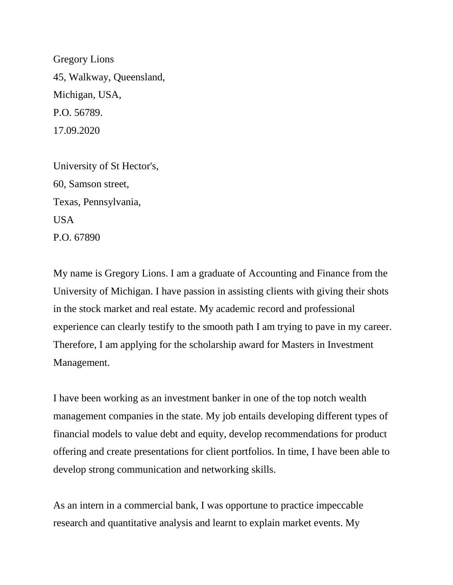Gregory Lions 45, Walkway, Queensland, Michigan, USA, P.O. 56789. 17.09.2020

University of St Hector's, 60, Samson street, Texas, Pennsylvania, USA P.O. 67890

My name is Gregory Lions. I am a graduate of Accounting and Finance from the University of Michigan. I have passion in assisting clients with giving their shots in the stock market and real estate. My academic record and professional experience can clearly testify to the smooth path I am trying to pave in my career. Therefore, I am applying for the scholarship award for Masters in Investment Management.

I have been working as an investment banker in one of the top notch wealth management companies in the state. My job entails developing different types of financial models to value debt and equity, develop recommendations for product offering and create presentations for client portfolios. In time, I have been able to develop strong communication and networking skills.

As an intern in a commercial bank, I was opportune to practice impeccable research and quantitative analysis and learnt to explain market events. My